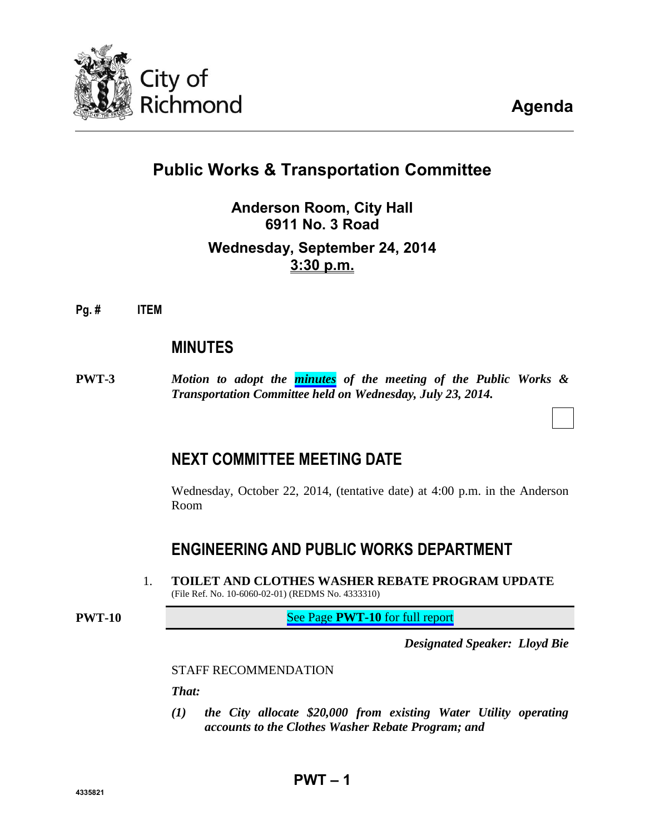

**Agenda**

# **Public Works & Transportation Committee**

## **Anderson Room, City Hall 6911 No. 3 Road Wednesday, September 24, 2014 3:30 p.m.**

### **Pg. # ITEM**

## **MINUTES**

**PWT-3** *Motion to adopt the [minutes](#page-2-0) of the meeting of the Public Works & Transportation Committee held on Wednesday, July 23, 2014.*

## **NEXT COMMITTEE MEETING DATE**

Wednesday, October 22, 2014, (tentative date) at 4:00 p.m. in the Anderson Room

## **ENGINEERING AND PUBLIC WORKS DEPARTMENT**

1. **TOILET AND CLOTHES WASHER REBATE PROGRAM UPDATE** (File Ref. No. 10-6060-02-01) (REDMS No. 4333310)

**PWT-10** See Page **PWT-10** [for full report](#page-9-0)

*Designated Speaker: Lloyd Bie*

STAFF RECOMMENDATION

*That:*

*(1) the City allocate \$20,000 from existing Water Utility operating accounts to the Clothes Washer Rebate Program; and*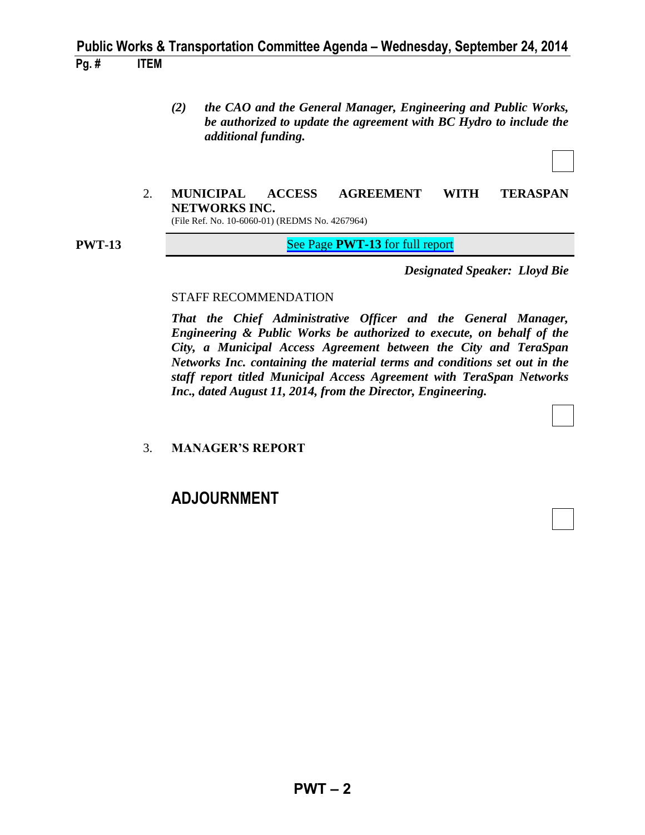## **Public Works & Transportation Committee Agenda – Wednesday, September 24, 2014 Pg. # ITEM**

- *(2) the CAO and the General Manager, Engineering and Public Works, be authorized to update the agreement with BC Hydro to include the additional funding.*
- 2. **MUNICIPAL ACCESS AGREEMENT WITH TERASPAN NETWORKS INC.** (File Ref. No. 10-6060-01) (REDMS No. 4267964)

**PWT-13** See Page **PWT-13** [for full report](#page-12-0)

*Designated Speaker: Lloyd Bie*

#### STAFF RECOMMENDATION

*That the Chief Administrative Officer and the General Manager, Engineering & Public Works be authorized to execute, on behalf of the City, a Municipal Access Agreement between the City and TeraSpan Networks Inc. containing the material terms and conditions set out in the staff report titled Municipal Access Agreement with TeraSpan Networks Inc., dated August 11, 2014, from the Director, Engineering.*

#### 3. **MANAGER'S REPORT**

## **ADJOURNMENT**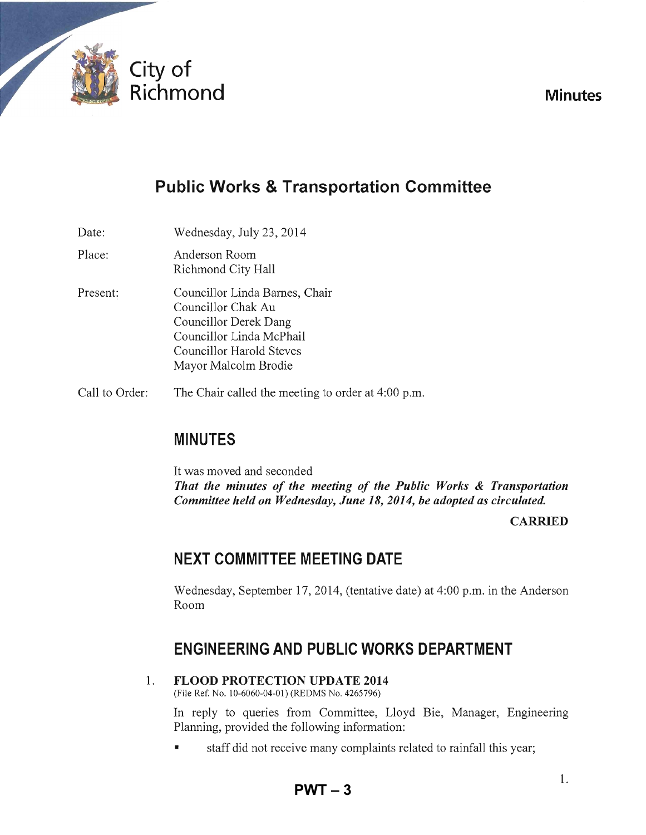<span id="page-2-0"></span>

**Minutes** 

# **Public Works & Transportation Committee**

Date: Wednesday, July 23, 2014

- Place: Anderson Room Richmond City Hall
- Present: Councillor Linda Barnes, Chair Councillor Chak Au Councillor Derek Dang Councillor Linda McPhail Councillor Harold Steves Mayor Malcolm Brodie
- Call to Order: The Chair called the meeting to order at 4:00 p.m.

## **MINUTES**

It was moved and seconded *That the minutes of the meeting of the Public Works* **&** *Transportation Committee held on Wednesday, June 18,2014, be adopted as circulated.* 

**CARRIED** 

## **NEXT COMMITTEE MEETING DATE**

Wednesday, September 17,2014, (tentative date) at 4:00 p.m. in the Anderson Room

## **ENGINEERING AND PUBLIC WORKS DEPARTMENT**

1. **FLOOD PROTECTION UPDATE 2014** 

(File Ref. No. 10-6060-04-01) (REDMS No. 4265796)

In reply to queries from Committee, Lloyd Bie, Manager, Engineering Planning, provided the following information:

• staff did not receive many complaints related to rainfall this year;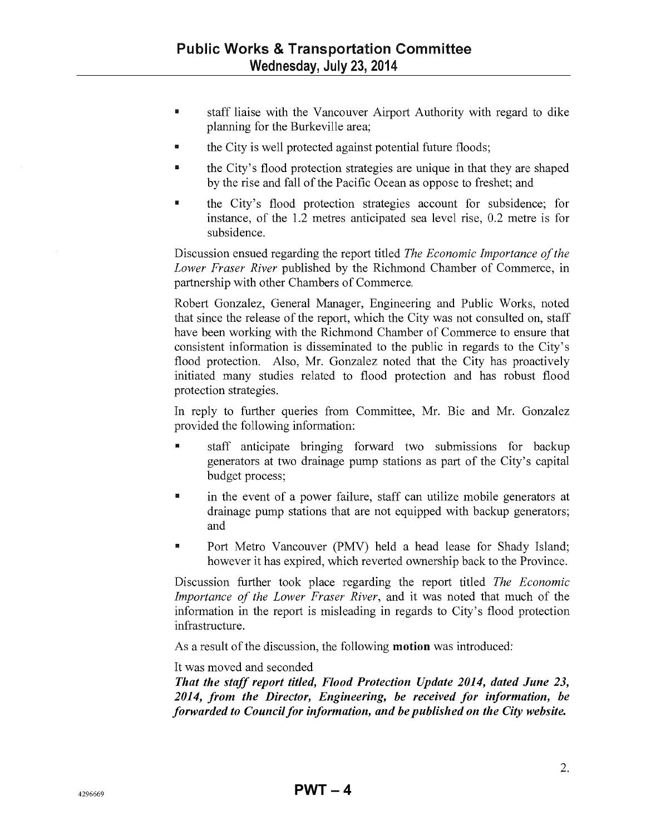- III staff liaise with the Vancouver Airport Authority with regard to dike planning for the Burkeville area;
- the City is well protected against potential future floods;
- the City's flood protection strategies are unique in that they are shaped by the rise and fall of the Pacific Ocean as oppose to freshet; and
- **E** the City's flood protection strategies account for subsidence; for instance, of the 1.2 metres anticipated sea level rise, 0.2 metre is for subsidence.

Discussion ensued regarding the report titled *The Economic Importance of the Lower Fraser River* published by the Richmond Chamber of Commerce, in partnership with other Chambers of Commerce.

Robert Gonzalez, General Manager, Engineering and Public Works, noted that since the release of the report, which the City was not consulted on, staff have been working with the Richmond Chamber of Commerce to ensure that consistent information is disseminated to the public in regards to the City's flood protection. Also, Mr. Gonzalez noted that the City has proactively initiated many studies related to flood protection and has robust flood protection strategies.

In reply to further queries from Committee, Mr. Bie and Mr. Gonzalez provided the following information:

- III staff anticipate bringing forward two submissions for backup generators at two drainage pump stations as part of the City's capital budget process;
- If in the event of a power failure, staff can utilize mobile generators at drainage pump stations that are not equipped with backup generators; and
- **III** Port Metro Vancouver (PMV) held a head lease for Shady Island; however it has expired, which reverted ownership back to the Province.

Discussion further took place regarding the report titled *The Economic Importance of the Lower Fraser River,* and it was noted that much of the information in the report is misleading in regards to City's flood protection infrastructure.

As a result of the discussion, the following motion was introduced:

It was moved and seconded

*That the staff report titled, Flood Protection Update 2014, dated June 23, 2014, from the Director, Engineering, be received for information, be forwarded to Council for information, and be published on the City website.*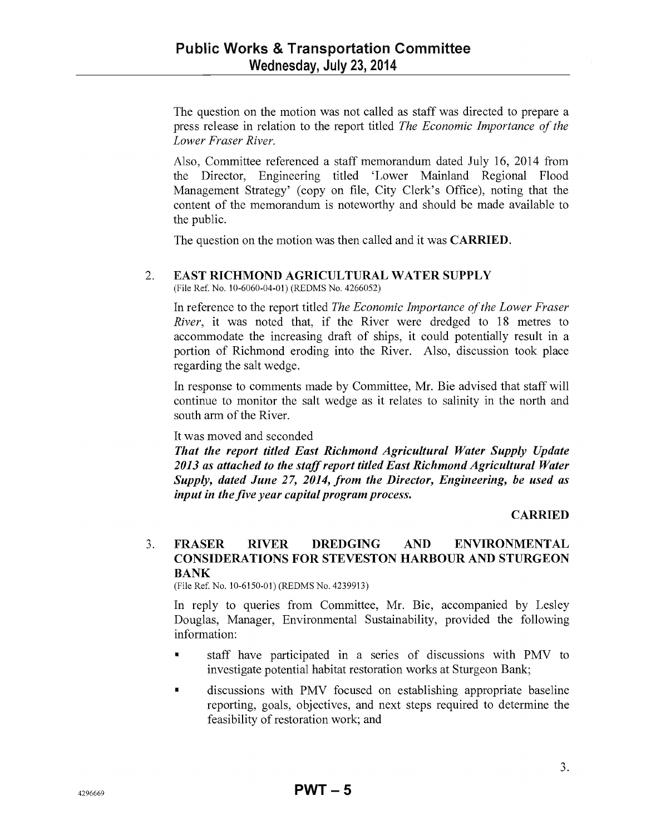The question on the motion was not called as staff was directed to prepare a press release in relation to the report titled *The Economic Importance of the Lower Fraser River.* 

Also, Committee referenced a staff memorandum dated July 16, 2014 from the Director, Engineering titled 'Lower Mainland Regional Flood Management Strategy' (copy on file, City Clerk's Office), noting that the content of the memorandum is noteworthy and should be made available to the public.

The question on the motion was then called and it was CARRIED.

### 2. EAST RICHMOND AGRICULTURAL WATER SUPPLY

(File Ref. No. 10-6060-04-01) (REDMS No. 4266052)

In reference to the report titled *The Economic Importance of the Lower Fraser River,* it was noted that, if the River were dredged to 18 metres to accommodate the increasing draft of ships, it could potentially result in a portion of Richmond eroding into the River. Also, discussion took place regarding the salt wedge.

In response to comments made by Committee, Mr. Bie advised that staff will continue to monitor the salt wedge as it relates to salinity in the north and south arm of the River.

### It was moved and seconded

*That the report titled East Richmond Agricultural Water Supply Update 2013 as attached to the staff report titled East Richmond Agricultural Water Supply, dated June* 27, *2014, from the Director, Engineering, be used as input in the five year capital program process.* 

### CARRIED

#### 3. FRASER RIVER DREDGING AND ENVIRONMENTAL CONSIDERATIONS FOR STEVESTON HARBOUR AND STURGEON BANK

(File Ref. No. 10-6150-01) (REDMS No. 42399l3)

In reply to queries from Committee, Mr. Bie, accompanied by Lesley Douglas, Manager, Environmental Sustainability, provided the following information:

- staff have participated in a series of discussions with PMV to investigate potential habitat restoration works at Sturgeon Bank;
- **•** discussions with PMV focused on establishing appropriate baseline reporting, goals, objectives, and next steps required to determine the feasibility of restoration work; and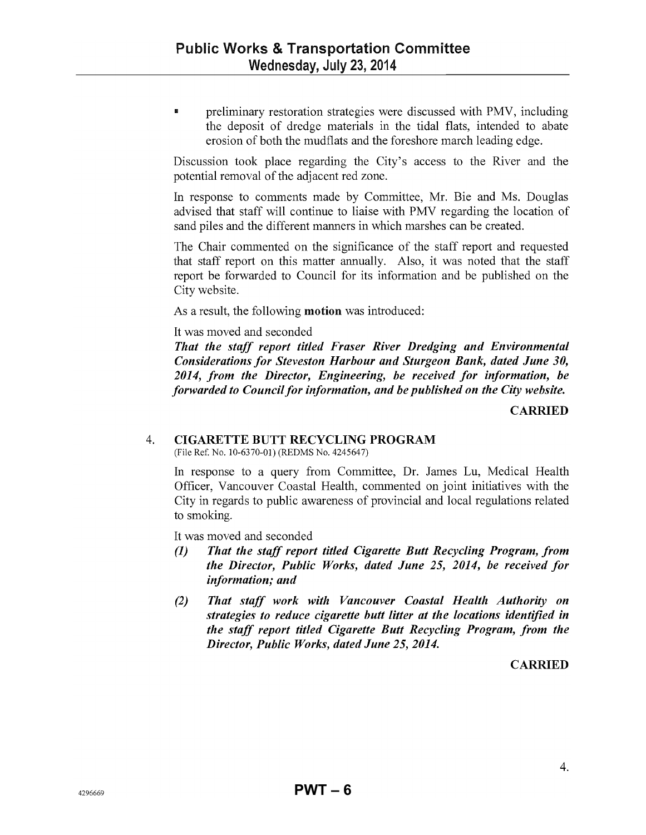■ preliminary restoration strategies were discussed with PMV, including the deposit of dredge materials in the tidal flats, intended to abate erosion of both the mudflats and the foreshore march leading edge.

Discussion took place regarding the City's access to the River and the potential removal of the adjacent red zone.

In response to comments made by Committee, Mr. Bie and Ms. Douglas advised that staff will continue to liaise with PMV regarding the location of sand piles and the different manners in which marshes can be created.

The Chair commented on the significance of the staff report and requested that staff report on this matter annually. Also, it was noted that the staff report be forwarded to Council for its information and be published on the City website.

As a result, the following motion was introduced:

#### It was moved and seconded

*That the staff report titled Fraser River Dredging and Environmental Considerations for Steveston Harbour and Sturgeon Bank, dated June 30, 2014, from the Director, Engineering, be received for information, be forwarded to Council for information, and be published on the City website.* 

**CARRIED** 

## 4. CIGARETTE BUTT RECYCLING PROGRAM

(File Ref. No. 10-6370-01) (REDMS No. 4245647)

In response to a query from Committee, Dr. James Lu, Medical Health Officer, Vancouver Coastal Health, commented on joint initiatives with the City in regards to public awareness of provincial and local regulations related to smoking.

It was moved and seconded

- *(1) That the staff report titled Cigarette Butt Recycling Program, from the Director, Public Works, dated June* 25, *2014, be received for information; and*
- *(2) That staff work with Vancouver Coastal Health Authority on strategies to reduce cigarette butt litter at the locations identified in the staff report titled Cigarette Butt Recycling Program, from the Director, Public Works, dated June 25,2014.*

### **CARRIED**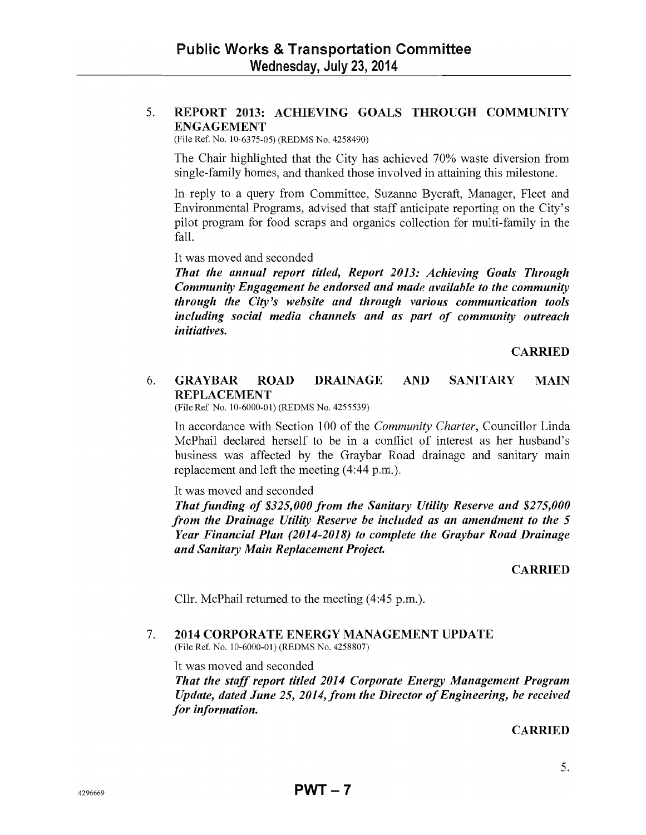#### 5. REPORT 2013: ACHIEVING GOALS THROUGH COMMUNITY ENGAGEMENT

(File Ref. No. 10-6375-05) (REDMS No. 4258490)

The Chair highlighted that the City has achieved 70% waste diversion from single-family homes, and thanked those involved in attaining this milestone.

In reply to a query from Committee, Suzanne Bycraft, Manager, Fleet and Environmental Programs, advised that staff anticipate reporting on the City's pilot program for food scraps and organics collection for multi-family in the fall.

It was moved and seconded

*That the annual report titled, Report 2013: Achieving Goals Through Community Engagement be endorsed and made available to the community through the City's website and through various communication tools including social media channels and as part of community outreach initiatives.* 

CARRIED

#### 6. GRAYBAR ROAD DRAINAGE AND SANITARY MAIN REPLACEMENT

(File Ref. No. 10-6000-01) (REDMS No. 4255539)

In accordance with Section 100 of the *Community Charter,* Councillor Linda McPhail declared herself to be in a conflict of interest as her husband's business was affected by the Graybar Road drainage and sanitary main replacement and left the meeting (4:44 p.m.).

It was moved and seconded

*That funding of \$325,000 from the Sanitary Utility Reserve and \$275,000 from the Drainage Utility Reserve be included as an amendment to the 5 Year Financial Plan (2014-2018) to complete the Graybar Road Drainage and Sanitary Main Replacement Project.* 

#### CARRIED

Cllr. McPhail returned to the meeting (4:45 p.m.).

#### 7. 2014 CORPORATE ENERGY MANAGEMENT UPDATE (File Ref. No. 10-6000-01) (REDMS No. 4258807)

It was moved and seconded

*That the staff report titled 2014 Corporate Energy Management Program Update, dated June* 25, *2014, from the Director of Engineering, be received for information.* 

#### **CARRIED**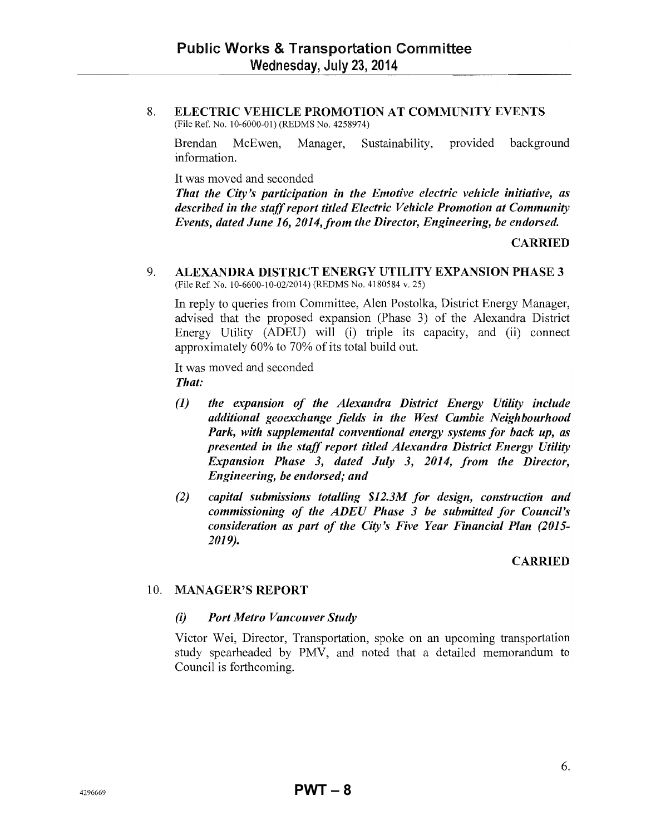8. ELECTRIC VEHICLE PROMOTION AT COMMUNITY EVENTS (File Ref. No. 10-6000-01) (REDMS No. 4258974)

Brendan McEwen, Manager, Sustainability, provided background information.

It was moved and seconded

*That the City's participation in the Emotive electric vehicle initiative, as described in the staff report titled Electric Vehicle Promotion at Community Events, dated June* 16, *2014,from the Director, Engineering, be endorsed.* 

#### CARRIED

9. ALEXANDRA DISTRICT ENERGY UTILITY EXPANSION PHASE 3 (File Ref. No. 10-6600-10-0212014) (REDMS No. 4180584 v. 25)

In reply to queries from Committee, Alen Postolka, District Energy Manager, advised that the proposed expansion (Phase 3) of the Alexandra District Energy Utility (ADEU) will (i) triple its capacity, and (ii) connect approximately 60% to 70% of its total build out.

It was moved and seconded *That:* 

- *(1) the expansion of the Alexandra District Energy Utility include additional geoexchange fields in the West Cambie Neighbourhood Park, with supplemental conventional energy systems for back up, as presented in the staff report titled Alexandra District Energy Utility Expansion Phase* 3, *dated July* 3, *2014, from the Director, Engineering, be endorsed; and*
- *(2) capital submissions totalling \$12.3M for design, construction and commissioning of the ADEU Phase* 3 *be submitted for Council's consideration as part of the City's Five Year Financial Plan (2015- 2019).*

#### CARRIED

#### 10. MANAGER'S REPORT

#### *(i) Port Metro Vancouver Study*

Victor Wei, Director, Transportation, spoke on an upcoming transportation study spearheaded by PMV, and noted that a detailed memorandum to Council is forthcoming.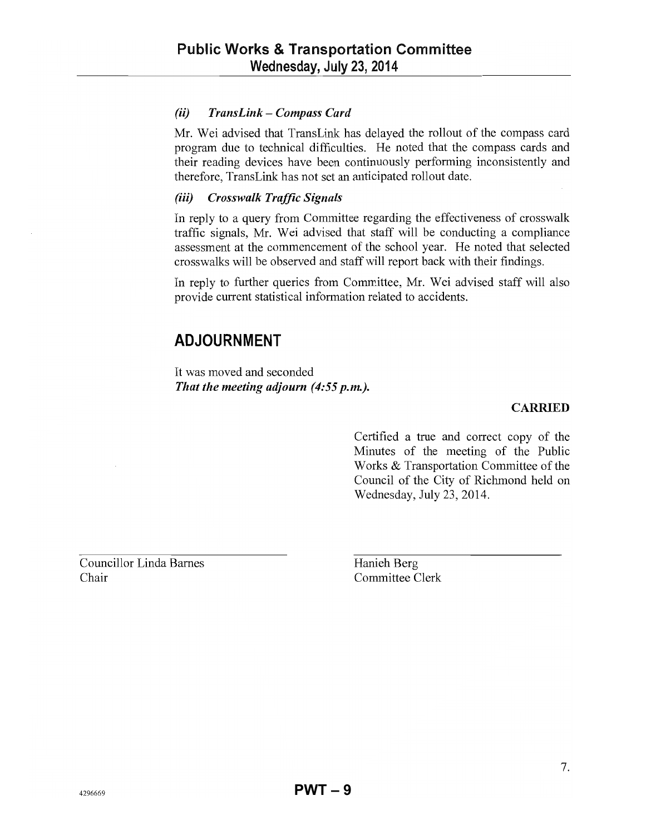#### (ii) *TransLink* - *Compass Card*

Mr. Wei advised that TransLink has delayed the rollout of the compass card program due to technical difficulties. He noted that the compass cards and their reading devices have been continuously performing inconsistently and therefore, TransLink has not set an anticipated rollout date.

#### *(iii) Crosswalk Traffic Signals*

In reply to a query from Committee regarding the effectiveness of crosswalk traffic signals, Mr. Wei advised that staff will be conducting a compliance assessment at the commencement of the school year. He noted that selected crosswalks will be observed and staff will report back with their findings.

In reply to further queries from Committee, Mr. Wei advised staff will also provide current statistical information related to accidents.

## **ADJOURNMENT**

It was moved and seconded *That the meeting adjourn* (4:55 *p.m.).* 

#### CARRIED

Certified a true and correct copy of the Minutes of the meeting of the Public Works & Transportation Committee of the Council of the City of Richmond held on Wednesday, July 23,2014.

Councillor Linda Barnes Chair

Hanieh Berg Committee Clerk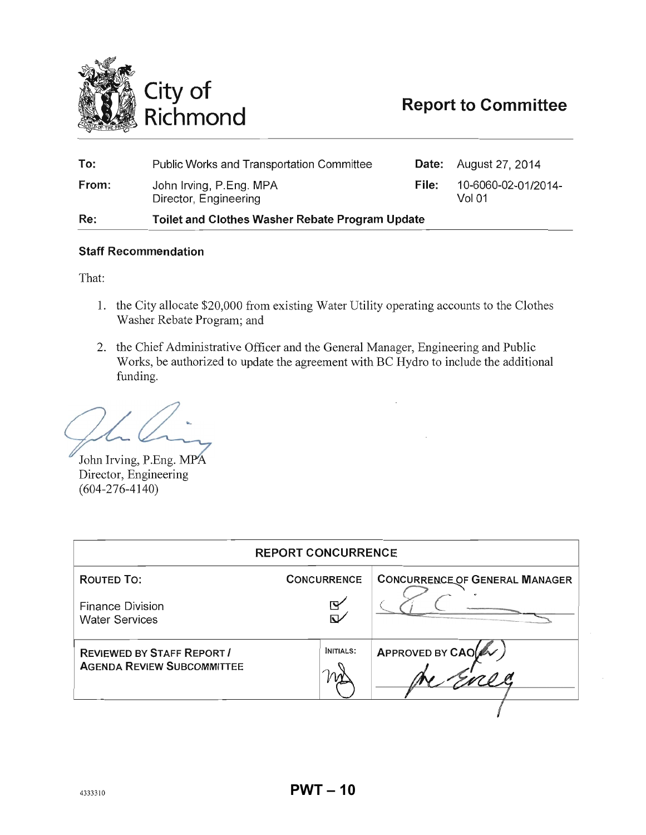<span id="page-9-0"></span>

| To:   | Public Works and Transportation Committee              |       | <b>Date:</b> August 27, 2014             |
|-------|--------------------------------------------------------|-------|------------------------------------------|
| From: | John Irving, P.Eng. MPA<br>Director, Engineering       | File: | 10-6060-02-01/2014-<br>Vol <sub>01</sub> |
| Re:   | <b>Toilet and Clothes Washer Rebate Program Update</b> |       |                                          |

#### **Staff Recommendation**

That:

- 1. the City allocate \$20,000 from existing Water Utility operating accounts to the Clothes Washer Rebate Program; and
- 2. the Chief Administrative Officer and the General Manager, Engineering and Public Works, be authorized to update the agreement with BC Hydro to include the additional funding.

John Irving, P.Eng. MPA Director, Engineering (604-276-4140)

| <b>CONCURRENCE</b><br><b>ROUTED TO:</b><br><b>Finance Division</b><br>पि<br><b>Water Services</b><br>APPROVED BY CAO<br><b>INITIALS:</b><br><b>REVIEWED BY STAFF REPORT /</b><br><b>AGENDA REVIEW SUBCOMMITTEE</b> | <b>REPORT CONCURRENCE</b> |  |                                       |  |  |  |
|--------------------------------------------------------------------------------------------------------------------------------------------------------------------------------------------------------------------|---------------------------|--|---------------------------------------|--|--|--|
|                                                                                                                                                                                                                    |                           |  | <b>CONCURRENCE OF GENERAL MANAGER</b> |  |  |  |
|                                                                                                                                                                                                                    |                           |  |                                       |  |  |  |
|                                                                                                                                                                                                                    |                           |  |                                       |  |  |  |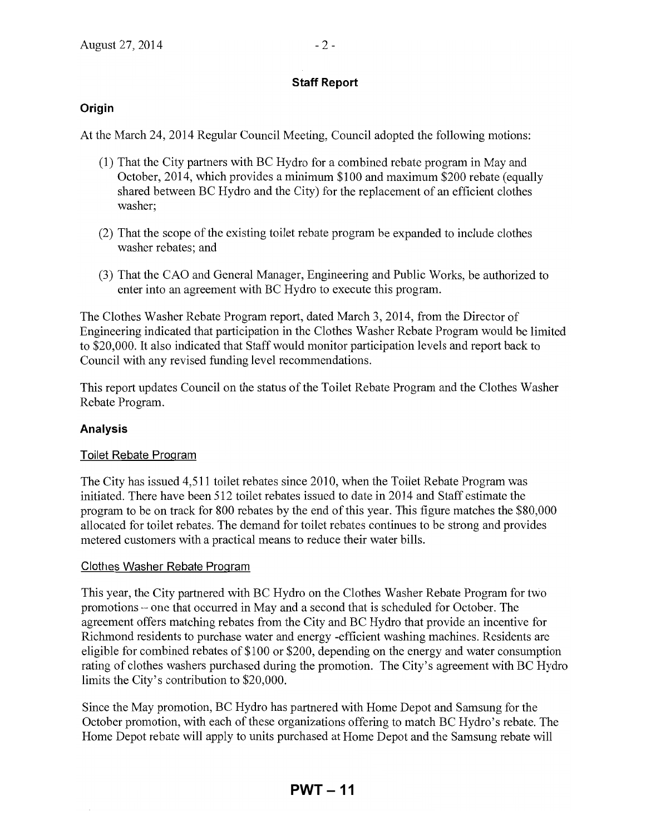## **Staff Report**

## **Origin**

At the March 24,2014 Regular Council Meeting, Council adopted the following motions:

- (1) That the City partners with BC Hydro for a combined rebate program in May and October, 2014, which provides a minimum \$100 and maximum \$200 rebate (equally shared between BC Hydro and the City) for the replacement of an efficient clothes washer;
- (2) That the scope ofthe existing toilet rebate program be expanded to include clothes washer rebates; and
- (3) That the CAO and General Manager, Engineering and Public Works, be authorized to enter into an agreement with BC Hydro to execute this program.

The Clothes Washer Rebate Program report, dated March 3,2014, from the Director of Engineering indicated that participation in the Clothes Washer Rebate Program would be limited to \$20,000. It also indicated that Staff would monitor participation levels and report back to Council with any revised funding level recommendations.

This report updates Council on the status of the Toilet Rebate Program and the Clothes Washer Rebate Program.

## **Analysis**

## Toilet Rebate Program

The City has issued 4,511 toilet rebates since 2010, when the Toilet Rebate Program was initiated. There have been 512 toilet rebates issued to date in 2014 and Staff estimate the program to be on track for 800 rebates by the end of this year. This figure matches the \$80,000 allocated for toilet rebates. The demand for toilet rebates continues to be strong and provides metered customers with a practical means to reduce their water bills.

### Clothes Washer Rebate Program

This year, the City partnered with BC Hydro on the Clothes Washer Rebate Program for two promotions – one that occurred in May and a second that is scheduled for October. The agreement offers matching rebates from the City and BC Hydro that provide an incentive for Richmond residents to purchase water and energy -efficient washing machines. Residents are eligible for combined rebates of \$100 or \$200, depending on the energy and water consumption rating of clothes washers purchased during the promotion. The City's agreement with BC Hydro limits the City's contribution to \$20,000.

Since the May promotion, BC Hydro has partnered with Home Depot and Samsung for the October promotion, with each of these organizations offering to match BC Hydro's rebate. The Home Depot rebate will apply to units purchased at Home Depot and the Samsung rebate will

## **PWT – 11**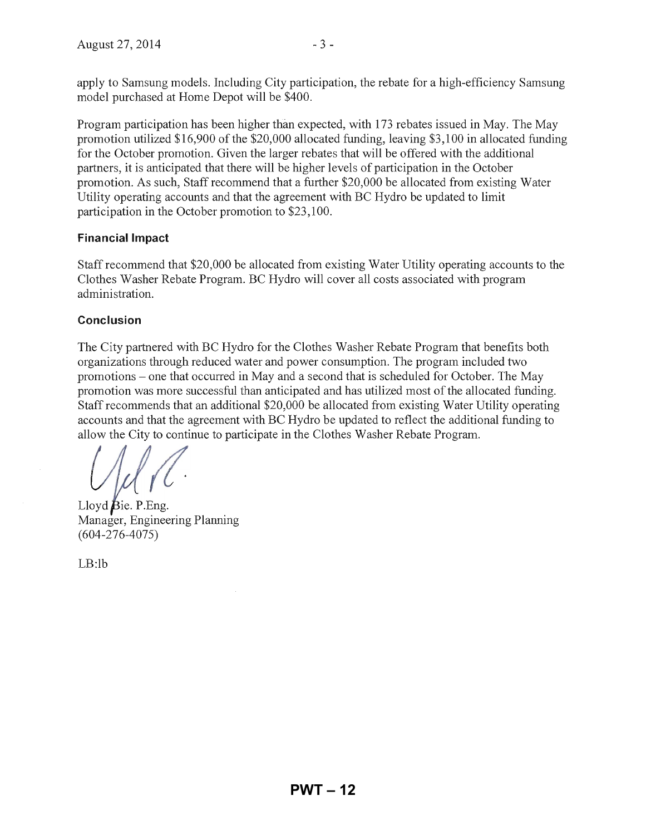apply to Samsung models. Including City participation, the rebate for a high-efficiency Samsung model purchased at Home Depot will be \$400.

Program participation has been higher than expected, with 173 rebates issued in May. The May promotion utilized \$16,900 of the \$20,000 allocated funding, leaving \$3,100 in allocated funding for the October promotion. Given the larger rebates that will be offered with the additional partners, it is anticipated that there will be higher levels of participation in the October promotion. As such, Staff recommend that a further \$20,000 be allocated from existing Water Utility operating accounts and that the agreement with BC Hydro be updated to limit participation in the October promotion to \$23,100.

### **Financial Impact**

Staff recommend that \$20,000 be allocated from existing Water Utility operating accounts to the Clothes Washer Rebate Program. BC Hydro will cover all costs associated with program administration.

### **Conclusion**

The City partnered with BC Hydro for the Clothes Washer Rebate Program that benefits both organizations through reduced water and power consumption. The program included two promotions - one that occurred in May and a second that is scheduled for October. The May promotion was more successful than anticipated and has utilized most of the allocated funding. Staff recommends that an additional \$20,000 be allocated from existing Water Utility operating accounts and that the agreement with BC Hydro be updated to reflect the additional funding to allow the City to continue to participate in the Clothes Washer Rebate Program.

 $\sqrt{\frac{1}{1-\epsilon}}$ 

Lloyd  $\beta$ ie. P.Eng. Manager, Engineering Planning (604-276-4075)

LB:lb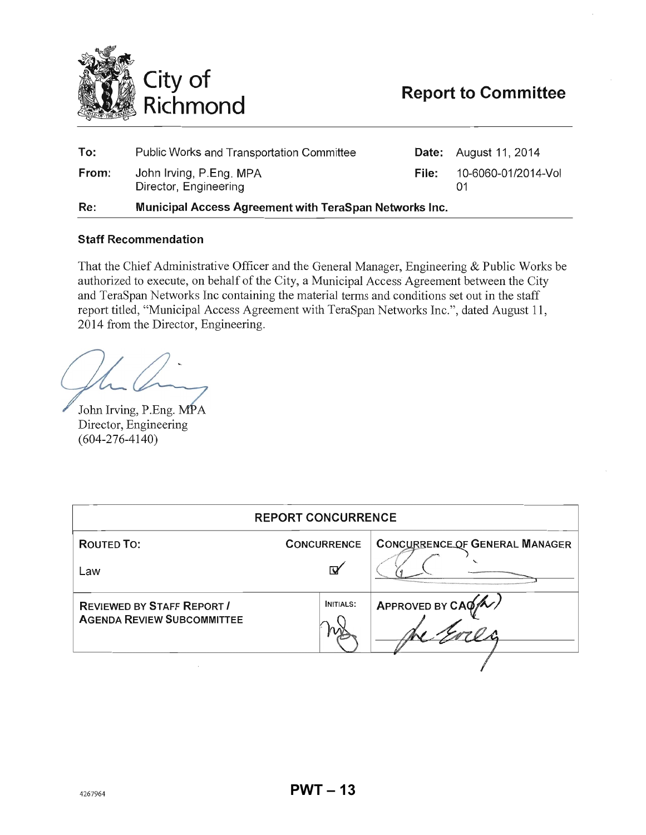<span id="page-12-0"></span>

| To:   | <b>Public Works and Transportation Committee</b>       |       | <b>Date:</b> August 11, 2014 |
|-------|--------------------------------------------------------|-------|------------------------------|
| From: | John Irving, P.Eng. MPA<br>Director, Engineering       | File: | 10-6060-01/2014-Vol          |
| Re:   | Municipal Access Agreement with TeraSpan Networks Inc. |       |                              |

#### Staff Recommendation

That the Chief Administrative Officer and the General Manager, Engineering & Public Works be authorized to execute, on behalf of the City, a Municipal Access Agreement between the City and TeraSpan Networks Inc containing the material terms and conditions set out in the staff report titled, "Municipal Access Agreement with TeraSpan Networks Inc.", dated August 11, 2014 from the Director, Engineering.

John Irving, P.Eng. MPA Director, Engineering (604-276-4140)

| <b>REPORT CONCURRENCE</b>                                              |                    |                                       |  |  |  |
|------------------------------------------------------------------------|--------------------|---------------------------------------|--|--|--|
| <b>ROUTED TO:</b>                                                      | <b>CONCURRENCE</b> | <b>CONCURRENCE OF GENERAL MANAGER</b> |  |  |  |
| Law                                                                    | Ñ                  |                                       |  |  |  |
| <b>REVIEWED BY STAFF REPORT /</b><br><b>AGENDA REVIEW SUBCOMMITTEE</b> | <b>INITIALS:</b>   | APPROVED BY $CAG/N$                   |  |  |  |
|                                                                        |                    |                                       |  |  |  |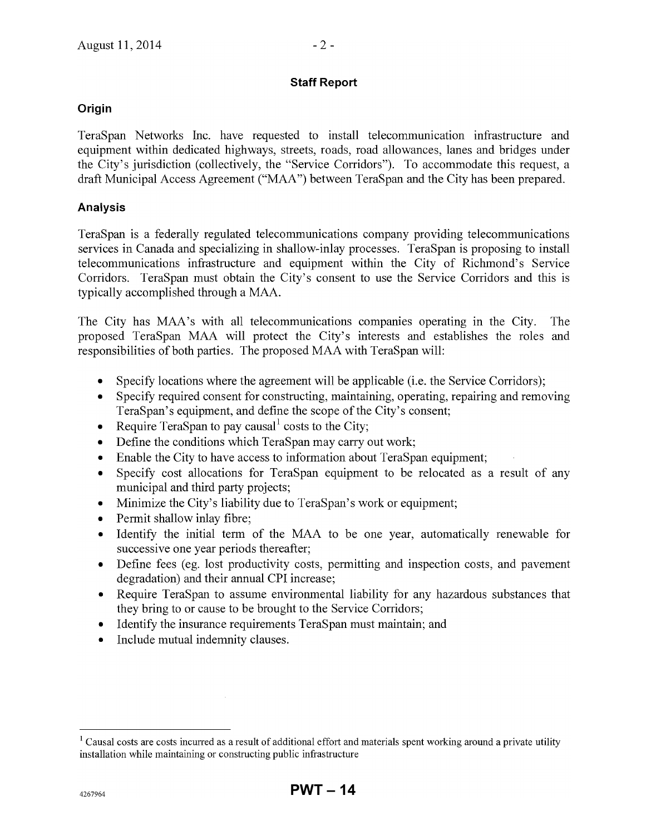## **Staff Report**

## **Origin**

TeraSpan Networks Inc. have requested to install telecommunication infrastructure and equipment within dedicated highways, streets, roads, road allowances, lanes and bridges under the City's jurisdiction (collectively, the "Service Corridors"). To accommodate this request, a draft Municipal Access Agreement ("MAA") between TeraSpan and the City has been prepared.

## **Analysis**

TeraSpan is a federally regulated telecommunications company providing telecommunications services in Canada and specializing in shallow-inlay processes. TeraSpan is proposing to install telecommunications infrastructure and equipment within the City of Richmond's Service Corridors. TeraSpan must obtain the City's consent to use the Service Corridors and this is typically accomplished through a MAA.

The City has MAA's with all telecommunications compames operating in the City. The proposed TeraSpan MAA will protect the City's interests and establishes the roles and responsibilities of both parties. The proposed MAA with TeraSpan will:

- Specify locations where the agreement will be applicable (i.e. the Service Corridors):
- Specify required consent for constructing, maintaining, operating, repairing and removing TeraSpan's equipment, and define the scope of the City's consent;
- Require TeraSpan to pay causal costs to the City;
- Define the conditions which TeraSpan may carry out work;
- Enable the City to have access to information about TeraSpan equipment;
- Specify cost allocations for TeraSpan equipment to be relocated as a result of any municipal and third party projects;
- Minimize the City's liability due to TeraSpan's work or equipment;
- Permit shallow inlay fibre;
- Identify the initial term of the MAA to be one year, automatically renewable for successive one year periods thereafter;
- Define fees (eg. lost productivity costs, permitting and inspection costs, and pavement degradation) and their annual CPI increase;
- Require TeraSpan to assume environmental liability for any hazardous substances that they bring to or cause to be brought to the Service Corridors;
- Identify the insurance requirements TeraSpan must maintain; and
- Include mutual indemnity clauses.

<sup>&</sup>lt;sup>1</sup> Causal costs are costs incurred as a result of additional effort and materials spent working around a private utility installation while maintaining or constructing public infrastructure